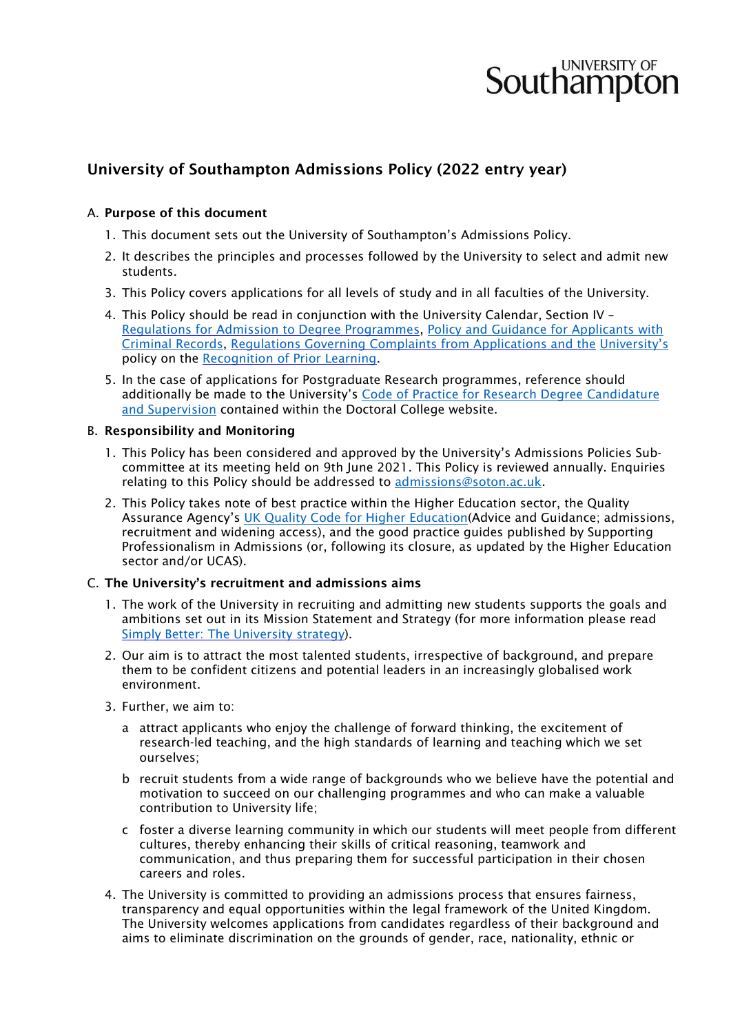# **Southampton**

# University of Southampton Admissions Policy (2022 entry year)

# A. Purpose of this document

- 1. This document sets out the University of Southampton's Admissions Policy.
- 2. It describes the principles and processes followed by the University to select and admit new students.
- 3. This Policy covers applications for all levels of study and in all faculties of the University.
- 4. This Policy should be read in conjunction with the University Calendar, Section IV [Regulations for Admission to Degree Programmes](http://www.calendar.soton.ac.uk/sectionIV/admissions.html)[,](http://www.calendar.soton.ac.uk/sectionIV/student-convictions.html) [Policy and Guidance for Applicants with](http://www.southampton.ac.uk/assets/sharepoint/intranet/calendar/publicdocuments/1819%20Policy%20and%20Guidance%20for%20Applicants%20with%20Criminal%20Records.pdf)  [Criminal Records,](http://www.southampton.ac.uk/assets/sharepoint/intranet/calendar/publicdocuments/1819%20Policy%20and%20Guidance%20for%20Applicants%20with%20Criminal%20Records.pdf) [Regulations Governing](http://www.calendar.soton.ac.uk/sectionIV/complaints-applicants.html) [Complaints from Applications](http://www.calendar.soton.ac.uk/sectionIV/complaints-applicants.html) [and the](http://www.calendar.soton.ac.uk/sectionIV/complaints-applicants.html) [University's](http://www.calendar.soton.ac.uk/sectionIV/complaints-applicants.html) policy on the [Recognition of Prior](http://www.southampton.ac.uk/quality/assessment/prior_learning.page) [Learning.](http://www.southampton.ac.uk/quality/assessment/prior_learning.page)
- 5. In the case of applications for Postgraduate Research programmes, reference should additionally be made to the [University's](http://www.calendar.soton.ac.uk/sectionV/code-practice.html) [Code of Practice for Research Degree Candidature](https://www.southampton.ac.uk/doctoral-college/pgr-code-of-practice.page)  [and Supervision](https://www.southampton.ac.uk/doctoral-college/pgr-code-of-practice.page) [co](http://www.calendar.soton.ac.uk/sectionV/code-practice.html)ntained within the Doctoral College website.

#### B. Responsibility and Monitoring

- 1. This Policy has been considered and approved by the University's Admissions Policies Subcommittee at its meeting held on 9th June 2021. This Policy is reviewed annually. Enquiries relating to this Policy should be addressed to admissions@soton.ac.uk.
- 2. This Policy takes note of best practice within the Higher Education sector, the Quality Assurance Agency's [UK Quality Code for Higher Education\(](https://eur03.safelinks.protection.outlook.com/?url=https%3A%2F%2Fwww.qaa.ac.uk%2Fquality-code&data=04%7C01%7CM.D.Simmons%40soton.ac.uk%7C5e3216d999504caa602308d924ed1848%7C4a5378f929f44d3ebe89669d03ada9d8%7C0%7C0%7C637581422999891472%7CUnknown%7CTWFpbGZsb3d8eyJWIjoiMC4wLjAwMDAiLCJQIjoiV2luMzIiLCJBTiI6Ik1haWwiLCJXVCI6Mn0%3D%7C1000&sdata=J%2FH%2FH2YGhydhK9%2Flu1M7ueEwRfDkby7szlXzZ9ZFMP0%3D&reserved=0)Advice and Guidance; admissions, recruitment and widening access), and the good practice guides published by Supporting Professionalism in Admissions (or, following its closure, as updated by the Higher Education sector and/or UCAS).

#### C. The University's recruitment and admissions aims

- 1. The work of the University in recruiting and admitting new students supports the goals and ambitions set out in its Mission Statement and Strategy (for more information please read [Simply Better: The University strategy\).](https://www.southampton.ac.uk/about/strategy.page)
- 2. Our aim is to attract the most talented students, irrespective of background, and prepare them to be confident citizens and potential leaders in an increasingly globalised work environment.
- 3. Further, we aim to:
	- a attract applicants who enjoy the challenge of forward thinking, the excitement of research-led teaching, and the high standards of learning and teaching which we set ourselves;
	- b recruit students from a wide range of backgrounds who we believe have the potential and motivation to succeed on our challenging programmes and who can make a valuable contribution to University life;
	- c foster a diverse learning community in which our students will meet people from different cultures, thereby enhancing their skills of critical reasoning, teamwork and communication, and thus preparing them for successful participation in their chosen careers and roles.
- 4. The University is committed to providing an admissions process that ensures fairness, transparency and equal opportunities within the legal framework of the United Kingdom. The University welcomes applications from candidates regardless of their background and aims to eliminate discrimination on the grounds of gender, race, nationality, ethnic or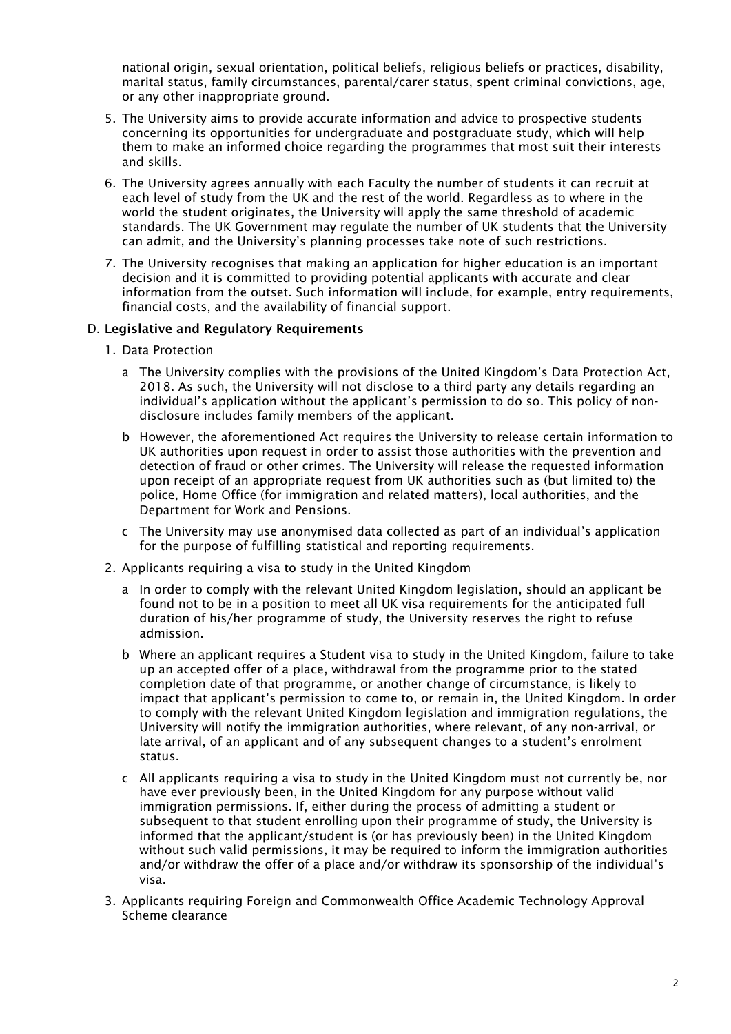national origin, sexual orientation, political beliefs, religious beliefs or practices, disability, marital status, family circumstances, parental/carer status, spent criminal convictions, age, or any other inappropriate ground.

- 5. The University aims to provide accurate information and advice to prospective students concerning its opportunities for undergraduate and postgraduate study, which will help them to make an informed choice regarding the programmes that most suit their interests and skills.
- 6. The University agrees annually with each Faculty the number of students it can recruit at each level of study from the UK and the rest of the world. Regardless as to where in the world the student originates, the University will apply the same threshold of academic standards. The UK Government may regulate the number of UK students that the University can admit, and the University's planning processes take note of such restrictions.
- 7. The University recognises that making an application for higher education is an important decision and it is committed to providing potential applicants with accurate and clear information from the outset. Such information will include, for example, entry requirements, financial costs, and the availability of financial support.

### D. Legislative and Regulatory Requirements

- 1. Data Protection
	- a The University complies with the provisions of the United Kingdom's Data Protection Act, 2018. As such, the University will not disclose to a third party any details regarding an individual's application without the applicant's permission to do so. This policy of nondisclosure includes family members of the applicant.
	- b However, the aforementioned Act requires the University to release certain information to UK authorities upon request in order to assist those authorities with the prevention and detection of fraud or other crimes. The University will release the requested information upon receipt of an appropriate request from UK authorities such as (but limited to) the police, Home Office (for immigration and related matters), local authorities, and the Department for Work and Pensions.
	- c The University may use anonymised data collected as part of an individual's application for the purpose of fulfilling statistical and reporting requirements.
- 2. Applicants requiring a visa to study in the United Kingdom
	- a In order to comply with the relevant United Kingdom legislation, should an applicant be found not to be in a position to meet all UK visa requirements for the anticipated full duration of his/her programme of study, the University reserves the right to refuse admission.
	- b Where an applicant requires a Student visa to study in the United Kingdom, failure to take up an accepted offer of a place, withdrawal from the programme prior to the stated completion date of that programme, or another change of circumstance, is likely to impact that applicant's permission to come to, or remain in, the United Kingdom. In order to comply with the relevant United Kingdom legislation and immigration regulations, the University will notify the immigration authorities, where relevant, of any non-arrival, or late arrival, of an applicant and of any subsequent changes to a student's enrolment status.
	- c All applicants requiring a visa to study in the United Kingdom must not currently be, nor have ever previously been, in the United Kingdom for any purpose without valid immigration permissions. If, either during the process of admitting a student or subsequent to that student enrolling upon their programme of study, the University is informed that the applicant/student is (or has previously been) in the United Kingdom without such valid permissions, it may be required to inform the immigration authorities and/or withdraw the offer of a place and/or withdraw its sponsorship of the individual's visa.
- 3. Applicants requiring Foreign and Commonwealth Office Academic Technology Approval Scheme clearance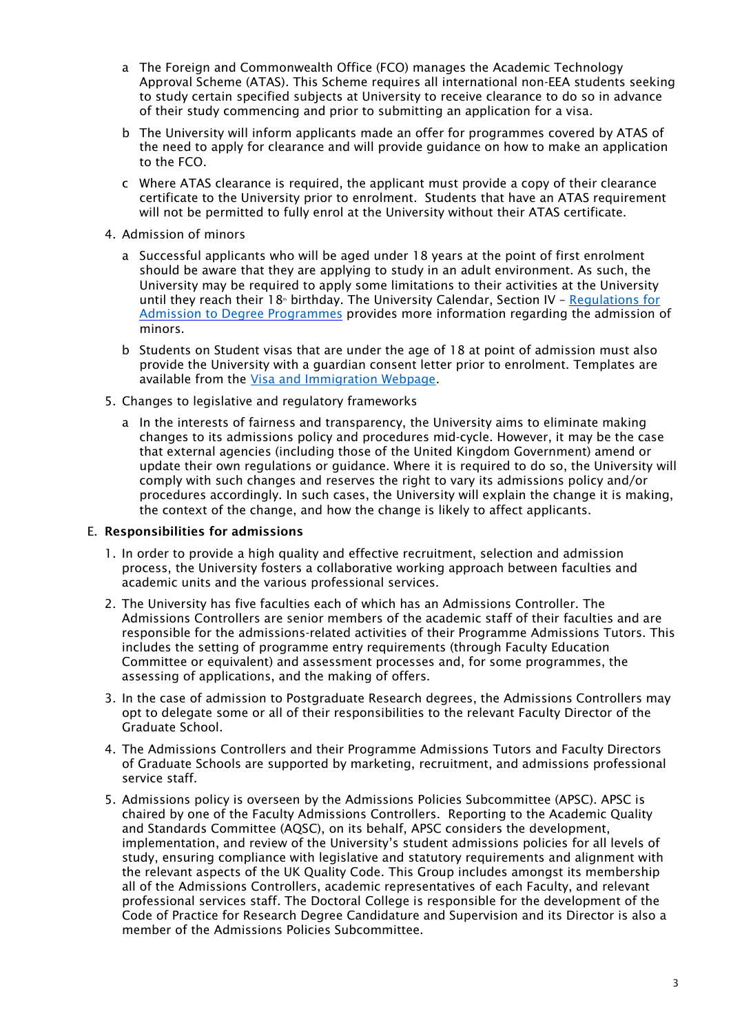- a The Foreign and Commonwealth Office (FCO) manages the Academic Technology Approval Scheme (ATAS). This Scheme requires all international non-EEA students seeking to study certain specified subjects at University to receive clearance to do so in advance of their study commencing and prior to submitting an application for a visa.
- b The University will inform applicants made an offer for programmes covered by ATAS of the need to apply for clearance and will provide guidance on how to make an application to the FCO.
- c Where ATAS clearance is required, the applicant must provide a copy of their clearance certificate to the University prior to enrolment. Students that have an ATAS requirement will not be permitted to fully enrol at the University without their ATAS certificate.
- 4. Admission of minors
	- a Successful applicants who will be aged under 18 years at the point of first enrolment should be aware that they are applying to study in an adult environment. As such, the University may be required to apply some limitations to their activities at the University until they reach their 18<sup>th</sup> birthday. The University Calendar, Section IV [–](http://www.calendar.soton.ac.uk/sectionIV/admissions.html) Regulations for [Admission to Degree Programmes](http://www.calendar.soton.ac.uk/sectionIV/admissions.html) [pr](http://www.calendar.soton.ac.uk/sectionIV/admissions.html)ovides more information regarding the admission of minors.
	- b Students on Student visas that are under the age of 18 at point of admission must also provide the University with a guardian consent letter prior to enrolment. Templates are available from the [Visa and Immigration Webpage.](https://www.southampton.ac.uk/studentservices/visa-and-immigration/index.page)
- 5. Changes to legislative and regulatory frameworks
	- a In the interests of fairness and transparency, the University aims to eliminate making changes to its admissions policy and procedures mid-cycle. However, it may be the case that external agencies (including those of the United Kingdom Government) amend or update their own regulations or guidance. Where it is required to do so, the University will comply with such changes and reserves the right to vary its admissions policy and/or procedures accordingly. In such cases, the University will explain the change it is making, the context of the change, and how the change is likely to affect applicants.

### E. Responsibilities for admissions

- 1. In order to provide a high quality and effective recruitment, selection and admission process, the University fosters a collaborative working approach between faculties and academic units and the various professional services.
- 2. The University has five faculties each of which has an Admissions Controller. The Admissions Controllers are senior members of the academic staff of their faculties and are responsible for the admissions-related activities of their Programme Admissions Tutors. This includes the setting of programme entry requirements (through Faculty Education Committee or equivalent) and assessment processes and, for some programmes, the assessing of applications, and the making of offers.
- 3. In the case of admission to Postgraduate Research degrees, the Admissions Controllers may opt to delegate some or all of their responsibilities to the relevant Faculty Director of the Graduate School.
- 4. The Admissions Controllers and their Programme Admissions Tutors and Faculty Directors of Graduate Schools are supported by marketing, recruitment, and admissions professional service staff.
- 5. Admissions policy is overseen by the Admissions Policies Subcommittee (APSC). APSC is chaired by one of the Faculty Admissions Controllers. Reporting to the Academic Quality and Standards Committee (AQSC), on its behalf, APSC considers the development, implementation, and review of the University's student admissions policies for all levels of study, ensuring compliance with legislative and statutory requirements and alignment with the relevant aspects of the UK Quality Code. This Group includes amongst its membership all of the Admissions Controllers, academic representatives of each Faculty, and relevant professional services staff. The Doctoral College is responsible for the development of the Code of Practice for Research Degree Candidature and Supervision and its Director is also a member of the Admissions Policies Subcommittee.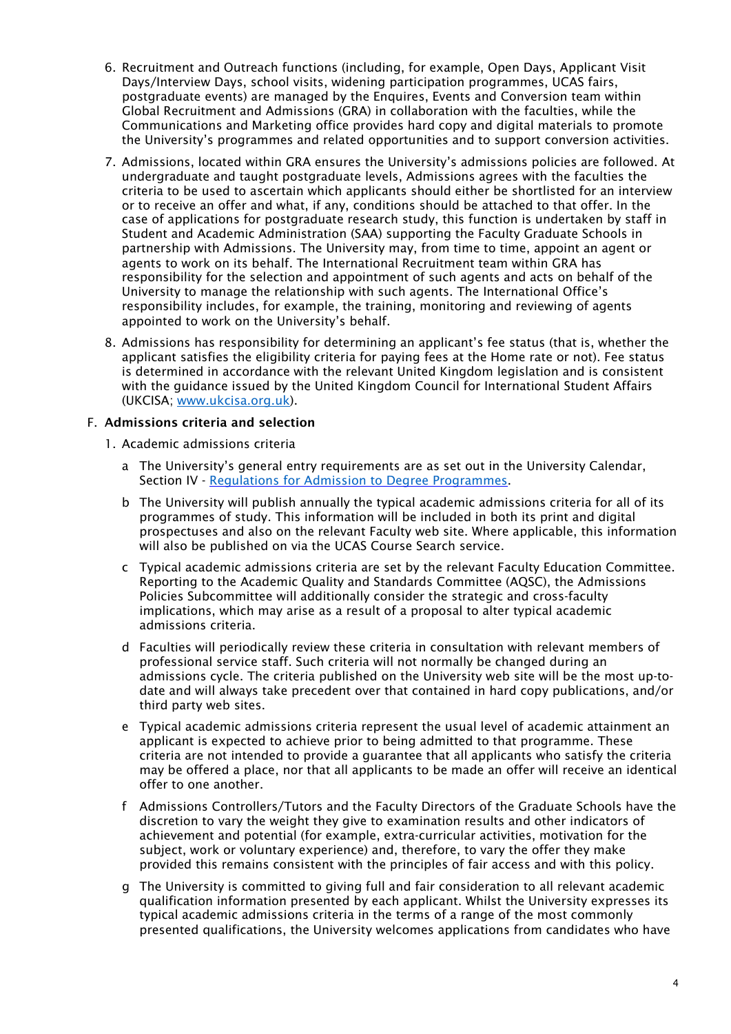- 6. Recruitment and Outreach functions (including, for example, Open Days, Applicant Visit Days/Interview Days, school visits, widening participation programmes, UCAS fairs, postgraduate events) are managed by the Enquires, Events and Conversion team within Global Recruitment and Admissions (GRA) in collaboration with the faculties, while the Communications and Marketing office provides hard copy and digital materials to promote the University's programmes and related opportunities and to support conversion activities.
- 7. Admissions, located within GRA ensures the University's admissions policies are followed. At undergraduate and taught postgraduate levels, Admissions agrees with the faculties the criteria to be used to ascertain which applicants should either be shortlisted for an interview or to receive an offer and what, if any, conditions should be attached to that offer. In the case of applications for postgraduate research study, this function is undertaken by staff in Student and Academic Administration (SAA) supporting the Faculty Graduate Schools in partnership with Admissions. The University may, from time to time, appoint an agent or agents to work on its behalf. The International Recruitment team within GRA has responsibility for the selection and appointment of such agents and acts on behalf of the University to manage the relationship with such agents. The International Office's responsibility includes, for example, the training, monitoring and reviewing of agents appointed to work on the University's behalf.
- 8. Admissions has responsibility for determining an applicant's fee status (that is, whether the applicant satisfies the eligibility criteria for paying fees at the Home rate or not). Fee status is determined in accordance with the relevant United Kingdom legislation and is consistent with the guidance issued by the United Kingdom Council for International Student Affairs (UKCISA; [www.ukcisa.org.uk\).](http://www.ukcisa.org.uk/)

# F. Admissions criteria and selection

- 1. Academic admissions criteria
	- a The University's general entry requirements are as set out in the University Calendar, Section IV [-](http://www.calendar.soton.ac.uk/sectionIV/admissions.html) [Regulations for Admission to Degree Programmes.](http://www.calendar.soton.ac.uk/sectionIV/admissions.html)
	- b The University will publish annually the typical academic admissions criteria for all of its programmes of study. This information will be included in both its print and digital prospectuses and also on the relevant Faculty web site. Where applicable, this information will also be published on via the UCAS Course Search service.
	- c Typical academic admissions criteria are set by the relevant Faculty Education Committee. Reporting to the Academic Quality and Standards Committee (AQSC), the Admissions Policies Subcommittee will additionally consider the strategic and cross-faculty implications, which may arise as a result of a proposal to alter typical academic admissions criteria.
	- d Faculties will periodically review these criteria in consultation with relevant members of professional service staff. Such criteria will not normally be changed during an admissions cycle. The criteria published on the University web site will be the most up-todate and will always take precedent over that contained in hard copy publications, and/or third party web sites.
	- e Typical academic admissions criteria represent the usual level of academic attainment an applicant is expected to achieve prior to being admitted to that programme. These criteria are not intended to provide a guarantee that all applicants who satisfy the criteria may be offered a place, nor that all applicants to be made an offer will receive an identical offer to one another.
	- f Admissions Controllers/Tutors and the Faculty Directors of the Graduate Schools have the discretion to vary the weight they give to examination results and other indicators of achievement and potential (for example, extra-curricular activities, motivation for the subject, work or voluntary experience) and, therefore, to vary the offer they make provided this remains consistent with the principles of fair access and with this policy.
	- g The University is committed to giving full and fair consideration to all relevant academic qualification information presented by each applicant. Whilst the University expresses its typical academic admissions criteria in the terms of a range of the most commonly presented qualifications, the University welcomes applications from candidates who have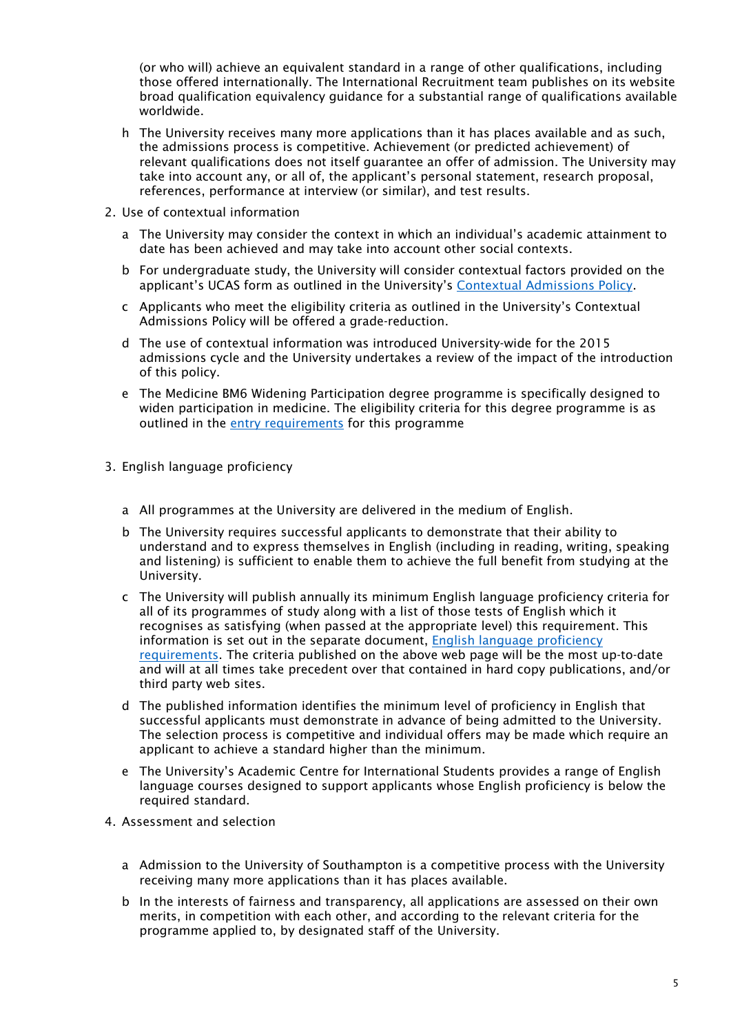(or who will) achieve an equivalent standard in a range of other qualifications, including those offered internationally. The International Recruitment team publishes on its website broad qualification equivalency guidance for a substantial range of qualifications available worldwide.

- h The University receives many more applications than it has places available and as such, the admissions process is competitive. Achievement (or predicted achievement) of relevant qualifications does not itself guarantee an offer of admission. The University may take into account any, or all of, the applicant's personal statement, research proposal, references, performance at interview (or similar), and test results.
- 2. Use of contextual information
	- a The University may consider the context in which an individual's academic attainment to date has been achieved and may take into account other social contexts.
	- b For undergraduate study, the University will consider contextual factors provided on the applicant's UCAS form as outlined in the University's [Contextual Admissions Policy.](https://www.southampton.ac.uk/studentadmin/admissions/admissions-policies/contextual-admissions.page)
	- c Applicants who meet the eligibility criteria as outlined in the University's Contextual Admissions Policy will be offered a grade-reduction.
	- d The use of contextual information was introduced University-wide for the 2015 admissions cycle and the University undertakes a review of the impact of the introduction of this policy.
	- e The Medicine BM6 Widening Participation degree programme is specifically designed to widen participation in medicine. The eligibility criteria for this degree programme is as outlined in the [entry requirements](https://www.southampton.ac.uk/courses/medicine-bm6-widening-participation-degree-bmbs#entry-requirements) for this programme
- 3. English language proficiency
	- a All programmes at the University are delivered in the medium of English.
	- b The University requires successful applicants to demonstrate that their ability to understand and to express themselves in English (including in reading, writing, speaking and listening) is sufficient to enable them to achieve the full benefit from studying at the University.
	- c The University will publish annually its minimum English language proficiency criteria for all of its programmes of study along with a list of those tests of English which it recognises as satisfying (when passed at the appropriate level) this requirement. This information is set out in the separate document, [English language proficiency](http://www.southampton.ac.uk/studentadmin/admissions/admissionspolicies/language/)  [requirements.](http://www.southampton.ac.uk/studentadmin/admissions/admissionspolicies/language/) The criteria published on the above web page will be the most up-to-date and will at all times take precedent over that contained in hard copy publications, and/or third party web sites.
	- d The published information identifies the minimum level of proficiency in English that successful applicants must demonstrate in advance of being admitted to the University. The selection process is competitive and individual offers may be made which require an applicant to achieve a standard higher than the minimum.
	- e The University's Academic Centre for International Students provides a range of English language courses designed to support applicants whose English proficiency is below the required standard.
- 4. Assessment and selection
	- a Admission to the University of Southampton is a competitive process with the University receiving many more applications than it has places available.
	- b In the interests of fairness and transparency, all applications are assessed on their own merits, in competition with each other, and according to the relevant criteria for the programme applied to, by designated staff of the University.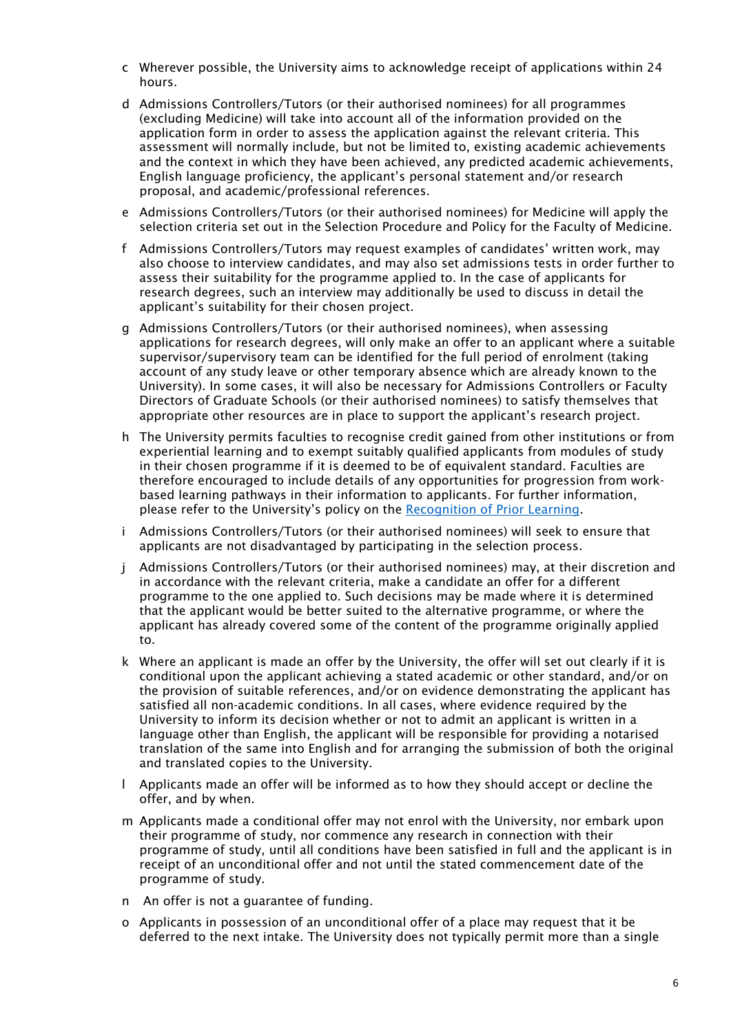- c Wherever possible, the University aims to acknowledge receipt of applications within 24 hours.
- d Admissions Controllers/Tutors (or their authorised nominees) for all programmes (excluding Medicine) will take into account all of the information provided on the application form in order to assess the application against the relevant criteria. This assessment will normally include, but not be limited to, existing academic achievements and the context in which they have been achieved, any predicted academic achievements, English language proficiency, the applicant's personal statement and/or research proposal, and academic/professional references.
- e Admissions Controllers/Tutors (or their authorised nominees) for Medicine will apply the selection criteria set out in the Selection Procedure and Policy for the Faculty of Medicine.
- f Admissions Controllers/Tutors may request examples of candidates' written work, may also choose to interview candidates, and may also set admissions tests in order further to assess their suitability for the programme applied to. In the case of applicants for research degrees, such an interview may additionally be used to discuss in detail the applicant's suitability for their chosen project.
- g Admissions Controllers/Tutors (or their authorised nominees), when assessing applications for research degrees, will only make an offer to an applicant where a suitable supervisor/supervisory team can be identified for the full period of enrolment (taking account of any study leave or other temporary absence which are already known to the University). In some cases, it will also be necessary for Admissions Controllers or Faculty Directors of Graduate Schools (or their authorised nominees) to satisfy themselves that appropriate other resources are in place to support the applicant's research project.
- h The University permits faculties to recognise credit gained from other institutions or from experiential learning and to exempt suitably qualified applicants from modules of study in their chosen programme if it is deemed to be of equivalent standard. Faculties are therefore encouraged to include details of any opportunities for progression from workbased learning pathways in their information to applicants. For further information, please refer to the University's policy on the [Recognition of Prior Learning.](http://www.southampton.ac.uk/quality/assessment/prior_learning.page)
- i Admissions Controllers/Tutors (or their authorised nominees) will seek to ensure that applicants are not disadvantaged by participating in the selection process.
- j Admissions Controllers/Tutors (or their authorised nominees) may, at their discretion and in accordance with the relevant criteria, make a candidate an offer for a different programme to the one applied to. Such decisions may be made where it is determined that the applicant would be better suited to the alternative programme, or where the applicant has already covered some of the content of the programme originally applied to.
- k Where an applicant is made an offer by the University, the offer will set out clearly if it is conditional upon the applicant achieving a stated academic or other standard, and/or on the provision of suitable references, and/or on evidence demonstrating the applicant has satisfied all non-academic conditions. In all cases, where evidence required by the University to inform its decision whether or not to admit an applicant is written in a language other than English, the applicant will be responsible for providing a notarised translation of the same into English and for arranging the submission of both the original and translated copies to the University.
- l Applicants made an offer will be informed as to how they should accept or decline the offer, and by when.
- m Applicants made a conditional offer may not enrol with the University, nor embark upon their programme of study, nor commence any research in connection with their programme of study, until all conditions have been satisfied in full and the applicant is in receipt of an unconditional offer and not until the stated commencement date of the programme of study.
- n An offer is not a guarantee of funding.
- o Applicants in possession of an unconditional offer of a place may request that it be deferred to the next intake. The University does not typically permit more than a single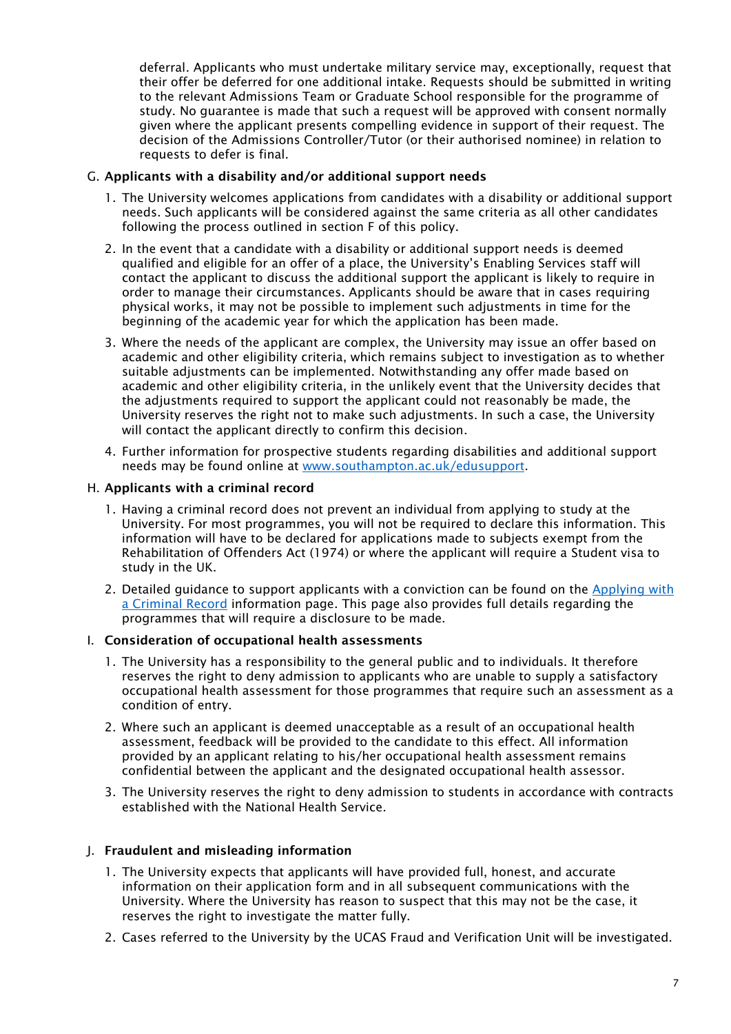deferral. Applicants who must undertake military service may, exceptionally, request that their offer be deferred for one additional intake. Requests should be submitted in writing to the relevant Admissions Team or Graduate School responsible for the programme of study. No guarantee is made that such a request will be approved with consent normally given where the applicant presents compelling evidence in support of their request. The decision of the Admissions Controller/Tutor (or their authorised nominee) in relation to requests to defer is final.

# G. Applicants with a disability and/or additional support needs

- 1. The University welcomes applications from candidates with a disability or additional support needs. Such applicants will be considered against the same criteria as all other candidates following the process outlined in section F of this policy.
- 2. In the event that a candidate with a disability or additional support needs is deemed qualified and eligible for an offer of a place, the University's Enabling Services staff will contact the applicant to discuss the additional support the applicant is likely to require in order to manage their circumstances. Applicants should be aware that in cases requiring physical works, it may not be possible to implement such adjustments in time for the beginning of the academic year for which the application has been made.
- 3. Where the needs of the applicant are complex, the University may issue an offer based on academic and other eligibility criteria, which remains subject to investigation as to whether suitable adjustments can be implemented. Notwithstanding any offer made based on academic and other eligibility criteria, in the unlikely event that the University decides that the adjustments required to support the applicant could not reasonably be made, the University reserves the right not to make such adjustments. In such a case, the University will contact the applicant directly to confirm this decision.
- 4. Further information for prospective students regarding disabilities and additional support needs may be found online at [www.southampton.ac.uk/edusupport.](http://www.southampton.ac.uk/edusupport)

# H. Applicants with a criminal record

- 1. Having a criminal record does not prevent an individual from applying to study at the University. For most programmes, you will not be required to declare this information. This information will have to be declared for applications made to subjects exempt from the Rehabilitation of Offenders Act (1974) or where the applicant will require a Student visa to study in the UK.
- 2. Detailed guidance to support applicants with a conviction can be found on the [Applying with](https://www.southampton.ac.uk/studentadmin/admissions/admissions-policies/criminal-records.page)  [a Criminal Record](https://www.southampton.ac.uk/studentadmin/admissions/admissions-policies/criminal-records.page) [i](https://www.southampton.ac.uk/studentadmin/admissions/admissions-policies/criminal-records.page)nformation page. This page also provides full details regarding the programmes that will require a disclosure to be made.

# I. Consideration of occupational health assessments

- 1. The University has a responsibility to the general public and to individuals. It therefore reserves the right to deny admission to applicants who are unable to supply a satisfactory occupational health assessment for those programmes that require such an assessment as a condition of entry.
- 2. Where such an applicant is deemed unacceptable as a result of an occupational health assessment, feedback will be provided to the candidate to this effect. All information provided by an applicant relating to his/her occupational health assessment remains confidential between the applicant and the designated occupational health assessor.
- 3. The University reserves the right to deny admission to students in accordance with contracts established with the National Health Service.

#### J. Fraudulent and misleading information

- 1. The University expects that applicants will have provided full, honest, and accurate information on their application form and in all subsequent communications with the University. Where the University has reason to suspect that this may not be the case, it reserves the right to investigate the matter fully.
- 2. Cases referred to the University by the UCAS Fraud and Verification Unit will be investigated.